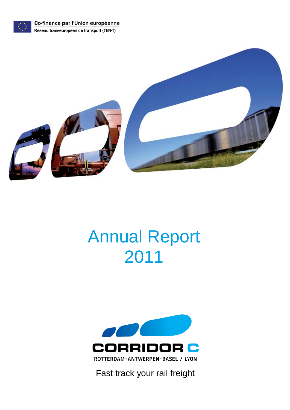

Co-financé par l'Union européenne Réseau transeuropéen de transport (TEN-T)



# Annual Report 2011



<span id="page-0-0"></span>Fast track your rail freight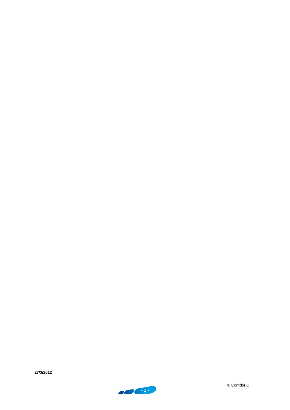**27/3/2012**

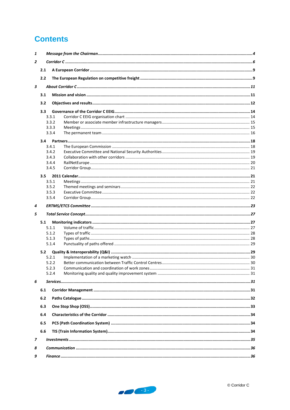# **Contents**

| 1              |       |                |  |  |  |
|----------------|-------|----------------|--|--|--|
| $\overline{2}$ |       |                |  |  |  |
|                | 2.1   |                |  |  |  |
|                |       |                |  |  |  |
|                | 2.2   |                |  |  |  |
| 3              |       |                |  |  |  |
|                | 3.1   |                |  |  |  |
|                | 3.2   |                |  |  |  |
|                | 3.3   |                |  |  |  |
|                |       | 3.3.1          |  |  |  |
|                |       | 3.3.2          |  |  |  |
|                |       | 3.3.3          |  |  |  |
|                |       | 3.3.4          |  |  |  |
|                |       |                |  |  |  |
|                |       | 3.4.1          |  |  |  |
|                |       | 3.4.2          |  |  |  |
|                |       | 3.4.3          |  |  |  |
|                |       | 3.4.4          |  |  |  |
|                |       | 3.4.5          |  |  |  |
|                |       |                |  |  |  |
|                | 3.5   | 3.5.1          |  |  |  |
|                |       | 3.5.2          |  |  |  |
|                |       | 3.5.3          |  |  |  |
|                |       | 3.5.4          |  |  |  |
| 4              |       |                |  |  |  |
|                |       |                |  |  |  |
| 5              |       |                |  |  |  |
|                | 5.1   |                |  |  |  |
|                |       | 5.1.1          |  |  |  |
|                |       | 5.1.2          |  |  |  |
|                |       | 5.1.3<br>5.1.4 |  |  |  |
|                |       |                |  |  |  |
|                | 5.2   |                |  |  |  |
|                |       | 5.2.1          |  |  |  |
|                |       | 5.2.2          |  |  |  |
|                |       | 5.2.3          |  |  |  |
|                | 5.2.4 |                |  |  |  |
| 6              |       |                |  |  |  |
|                | 6.1   |                |  |  |  |
|                | 6.2   |                |  |  |  |
|                |       |                |  |  |  |
|                | 6.3   |                |  |  |  |
|                | 6.4   |                |  |  |  |
|                | 6.5   |                |  |  |  |
|                | 6.6   |                |  |  |  |
| 7              |       |                |  |  |  |
| 8              |       |                |  |  |  |
|                |       |                |  |  |  |
| 9              |       |                |  |  |  |

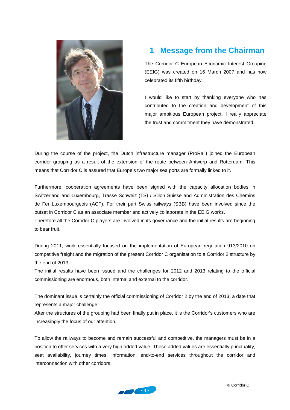

# <span id="page-3-0"></span>**1 Message from the Chairman**

The Corridor C European Economic Interest Grouping (EEIG) was created on 16 March 2007 and has now celebrated its fifth birthday.

I would like to start by thanking everyone who has contributed to the creation and development of this major ambitious European project. I really appreciate the trust and commitment they have demonstrated.

During the course of the project, the Dutch infrastructure manager (ProRail) joined the European corridor grouping as a result of the extension of the route between Antwerp and Rotterdam. This means that Corridor C is assured that Europe's two major sea ports are formally linked to it.

Furthermore, cooperation agreements have been signed with the capacity allocation bodies in Switzerland and Luxembourg, Trasse Schweiz (TS) / Sillon Suisse and Administration des Chemins de Fer Luxembourgeois (ACF). For their part Swiss railways (SBB) have been involved since the outset in Corridor C as an associate member and actively collaborate in the EEIG works.

Therefore all the Corridor C players are involved in its governance and the initial results are beginning to bear fruit.

During 2011, work essentially focused on the implementation of European regulation 913/2010 on competitive freight and the migration of the present Corridor C organisation to a Corridor 2 structure by the end of 2013.

The initial results have been issued and the challenges for 2012 and 2013 relating to the official commissioning are enormous, both internal and external to the corridor.

The dominant issue is certainly the official commissioning of Corridor 2 by the end of 2013, a date that represents a major challenge.

After the structures of the grouping had been finally put in place, it is the Corridor's customers who are increasingly the focus of our attention.

To allow the railways to become and remain successful and competitive, the managers must be in a position to offer services with a very high added value. These added values are essentially punctuality, seat availability, journey times, information, end-to-end services throughout the corridor and interconnection with other corridors.

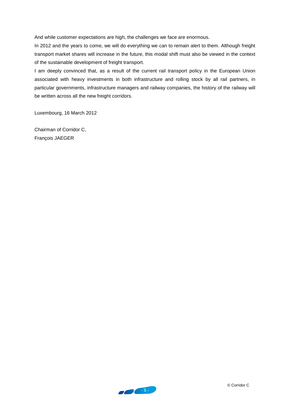And while customer expectations are high, the challenges we face are enormous.

In 2012 and the years to come, we will do everything we can to remain alert to them. Although freight transport market shares will increase in the future, this modal shift must also be viewed in the context of the sustainable development of freight transport.

I am deeply convinced that, as a result of the current rail transport policy in the European Union associated with heavy investments in both infrastructure and rolling stock by all rail partners, in particular governments, infrastructure managers and railway companies, the history of the railway will be written across all the new freight corridors.

Luxembourg, 16 March 2012

Chairman of Corridor C, François JAEGER

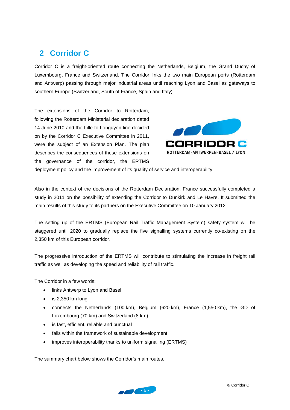# <span id="page-5-0"></span>**2 Corridor C**

Corridor C is a freight-oriented route connecting the Netherlands, Belgium, the Grand Duchy of Luxembourg, France and Switzerland. The Corridor links the two main European ports (Rotterdam and Antwerp) passing through major industrial areas until reaching Lyon and Basel as gateways to southern Europe (Switzerland, South of France, Spain and Italy).

The extensions of the Corridor to Rotterdam, following the Rotterdam Ministerial declaration dated 14 June 2010 and the Lille to Longuyon line decided on by the Corridor C Executive Committee in 2011, were the subject of an Extension Plan. The plan describes the consequences of these extensions on the governance of the corridor, the ERTMS



deployment policy and the improvement of its quality of service and interoperability.

Also in the context of the decisions of the Rotterdam Declaration, France successfully completed a study in 2011 on the possibility of extending the Corridor to Dunkirk and Le Havre. It submitted the main results of this study to its partners on the Executive Committee on 10 January 2012.

The setting up of the [ERTMS](http://trains.wikia.com/wiki/ERTMS) (European Rail Traffic Management System) safety system will be staggered until 2020 to gradually replace the five signalling systems currently co-existing on the 2,350 km of this European corridor.

The progressive introduction of the ERTMS will contribute to stimulating the increase in freight rail traffic as well as developing the speed and reliability of rail traffic.

The Corridor in a few words:

- links Antwerp to Lyon and Basel
- $\bullet$  is 2,350 km long
- connects the Netherlands (100 km), Belgium (620 km), France (1,550 km), the GD of Luxembourg (70 km) and Switzerland (8 km)
- is fast, efficient, reliable and punctual
- falls within the framework of sustainable development
- improves interoperability thanks to uniform signalling (ERTMS)

The summary chart below shows the Corridor's main routes.

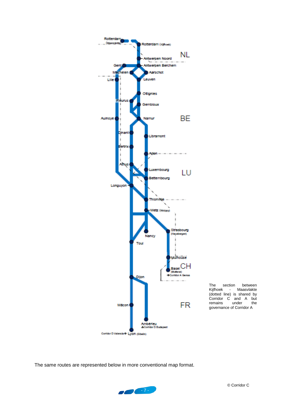

The section between<br>Kijfhoek - Maasvlakte Maasvlakte (dotted line) is shared by Corridor C and A but<br>remains under the remains governance of Corridor A

The same routes are represented below in more conventional map format.

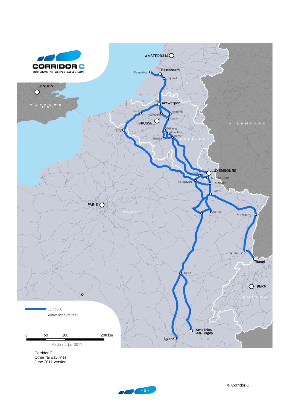

Other railway lines June 2011 version

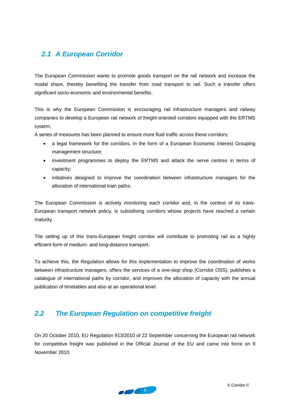## <span id="page-8-0"></span>*2.1 A European Corridor*

The European Commission wants to promote goods transport on the rail network and increase the modal share, thereby benefiting the transfer from road transport to rail. Such a transfer offers significant socio-economic and environmental benefits.

This is why the European Commission is encouraging rail infrastructure managers and railway companies to develop a European rail network of freight-oriented corridors equipped with the ERTMS system.

A series of measures has been planned to ensure more fluid traffic across these corridors:

- a legal framework for the corridors, in the form of a European Economic Interest Grouping management structure;
- investment programmes to deploy the ERTMS and attack the nerve centres in terms of capacity;
- initiatives designed to improve the coordination between infrastructure managers for the allocation of international train paths.

The European Commission is actively monitoring each corridor and, in the context of its trans-European transport network policy, is subsidising corridors whose projects have reached a certain maturity.

The setting up of this trans-European freight corridor will contribute to promoting rail as a highly efficient form of medium- and long-distance transport.

To achieve this, the Regulation allows for this implementation to improve the coordination of works between infrastructure managers, offers the services of a one-stop shop (Corridor OSS), publishes a catalogue of international paths by corridor, and improves the allocation of capacity with the annual publication of timetables and also at an operational level.

# <span id="page-8-1"></span>*2.2 The European Regulation on competitive freight*

On 20 October 2010, EU Regulation 913/2010 of 22 September concerning the European rail network for competitive freight was published in the Official Journal of the EU and came into force on 9 November 2010.

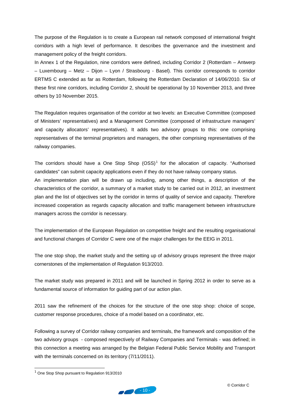The purpose of the Regulation is to create a European rail network composed of international freight corridors with a high level of performance. It describes the governance and the investment and management policy of the freight corridors.

In Annex 1 of the Regulation, nine corridors were defined, including Corridor 2 (Rotterdam – Antwerp – Luxembourg – Metz – Dijon – Lyon / Strasbourg - Basel). This corridor corresponds to corridor ERTMS C extended as far as Rotterdam, following the Rotterdam Declaration of 14/06/2010. Six of these first nine corridors, including Corridor 2, should be operational by 10 November 2013, and three others by 10 November 2015.

The Regulation requires organisation of the corridor at two levels: an Executive Committee (composed of Ministers' representatives) and a Management Committee (composed of infrastructure managers' and capacity allocators' representatives). It adds two advisory groups to this: one comprising representatives of the terminal proprietors and managers, the other comprising representatives of the railway companies.

The corridors should have a One Stop Shop  $(OSS)^1$  $(OSS)^1$  for the allocation of capacity. "Authorised candidates" can submit capacity applications even if they do not have railway company status. An implementation plan will be drawn up including, among other things, a description of the characteristics of the corridor, a summary of a market study to be carried out in 2012, an investment plan and the list of objectives set by the corridor in terms of quality of service and capacity. Therefore increased cooperation as regards capacity allocation and traffic management between infrastructure managers across the corridor is necessary.

The implementation of the European Regulation on competitive freight and the resulting organisational and functional changes of Corridor C were one of the major challenges for the EEIG in 2011.

The one stop shop, the market study and the setting up of advisory groups represent the three major cornerstones of the implementation of Regulation 913/2010.

The market study was prepared in 2011 and will be launched in Spring 2012 in order to serve as a fundamental source of information for guiding part of our action plan.

2011 saw the refinement of the choices for the structure of the one stop shop: choice of scope, customer response procedures, choice of a model based on a coordinator, etc.

Following a survey of Corridor railway companies and terminals, the framework and composition of the two advisory groups - composed respectively of Railway Companies and Terminals - was defined; in this connection a meeting was arranged by the Belgian Federal Public Service Mobility and Transport with the terminals concerned on its territory (7/11/2011).

-



<span id="page-9-0"></span><sup>&</sup>lt;sup>1</sup> One Stop Shop pursuant to Regulation 913/2010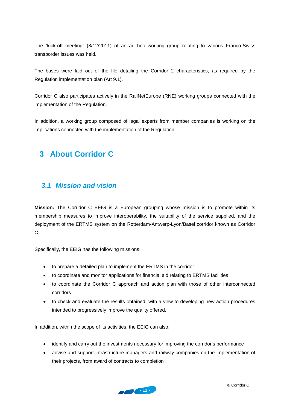The "kick-off meeting" (8/12/2011) of an ad hoc working group relating to various Franco-Swiss transborder issues was held.

The bases were laid out of the file detailing the Corridor 2 characteristics, as required by the Regulation implementation plan (Art 9.1).

Corridor C also participates actively in the RailNetEurope (RNE) working groups connected with the implementation of the Regulation.

In addition, a working group composed of legal experts from member companies is working on the implications connected with the implementation of the Regulation.

# <span id="page-10-0"></span>**3 About Corridor C**

### <span id="page-10-1"></span>*3.1 Mission and vision*

**Mission:** The Corridor C EEIG is a European grouping whose mission is to promote within its membership measures to improve interoperability, the suitability of the service supplied, and the deployment of the ERTMS system on the Rotterdam-Antwerp-Lyon/Basel corridor known as Corridor C.

Specifically, the EEIG has the following missions:

- to prepare a detailed plan to implement the ERTMS in the corridor
- to coordinate and monitor applications for financial aid relating to ERTMS facilities
- to coordinate the Corridor C approach and action plan with those of other interconnected corridors
- to check and evaluate the results obtained, with a view to developing new action procedures intended to progressively improve the quality offered.

In addition, within the scope of its activities, the EEIG can also:

- identify and carry out the investments necessary for improving the corridor's performance
- advise and support infrastructure managers and railway companies on the implementation of their projects, from award of contracts to completion

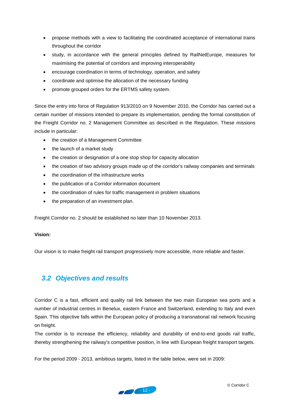- propose methods with a view to facilitating the coordinated acceptance of international trains throughout the corridor
- study, in accordance with the general principles defined by RailNetEurope, measures for maximising the potential of corridors and improving interoperability
- encourage coordination in terms of technology, operation, and safety
- coordinate and optimise the allocation of the necessary funding
- promote grouped orders for the ERTMS safety system.

Since the entry into force of Regulation 913/2010 on 9 November 2010, the Corridor has carried out a certain number of missions intended to prepare its implementation, pending the formal constitution of the Freight Corridor no. 2 Management Committee as described in the Regulation. These missions include in particular:

- the creation of a Management Committee
- the launch of a market study
- the creation or designation of a one stop shop for capacity allocation
- the creation of two advisory groups made up of the corridor's railway companies and terminals
- the coordination of the infrastructure works
- the publication of a Corridor information document
- the coordination of rules for traffic management in problem situations
- the preparation of an investment plan.

Freight Corridor no. 2 should be established no later than 10 November 2013.

#### **Vision:**

Our vision is to make freight rail transport progressively more accessible, more reliable and faster.

### <span id="page-11-0"></span>*3.2 Objectives and results*

Corridor C is a fast, efficient and quality rail link between the two main European sea ports and a number of industrial centres in Benelux, eastern France and Switzerland, extending to Italy and even Spain. This objective falls within the European policy of producing a transnational rail network focusing on freight.

The corridor is to increase the efficiency, reliability and durability of end-to-end goods rail traffic, thereby strengthening the railway's competitive position, in line with European freight transport targets.

For the period 2009 - 2013, ambitious targets, listed in the table below, were set in 2009:

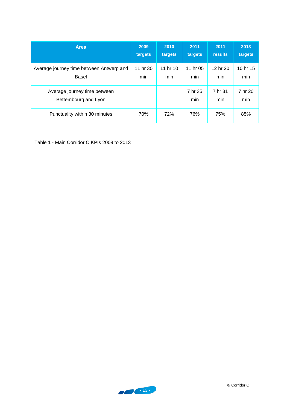| Area                                                 | 2009     | 2010     | 2011           | 2011           | 2013           |
|------------------------------------------------------|----------|----------|----------------|----------------|----------------|
|                                                      | targets  | targets  | targets        | <b>results</b> | targets        |
| Average journey time between Antwerp and             | 11 hr 30 | 11 hr 10 | 11 hr 05       | 12 hr 20       | 10 hr 15       |
| <b>Basel</b>                                         | min      | min      | min            | min            | min            |
| Average journey time between<br>Bettembourg and Lyon |          |          | 7 hr 35<br>min | 7 hr 31<br>min | 7 hr 20<br>min |
| Punctuality within 30 minutes                        | 70%      | 72%      | 76%            | 75%            | 85%            |

Table 1 - Main Corridor C KPIs 2009 to 2013

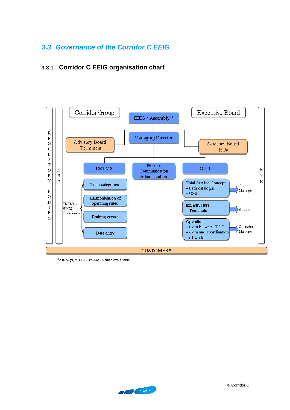# <span id="page-13-0"></span>*3.3 Governance of the Corridor C EEIG*

### <span id="page-13-1"></span>**3.3.1 Corridor C EEIG organisation chart**



\*Assembly (IM's + AB's = single decision level of EEIG

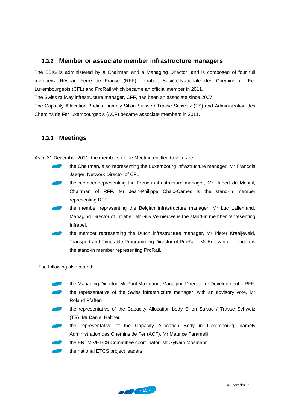#### <span id="page-14-0"></span>**3.3.2 Member or associate member infrastructure managers**

The EEIG is administered by a Chairman and a Managing Director, and is composed of four full members: Réseau Ferré de France (RFF), Infrabel, Société Nationale des Chemins de Fer Luxembourgeois (CFL) and ProRail which became an official member in 2011.

The Swiss railway infrastructure manager, CFF, has been an associate since 2007.

The Capacity Allocation Bodies, namely Sillon Suisse / Trasse Schweiz (TS) and Administration des Chemins de Fer luxembourgeois (ACF) became associate members in 2011.

#### <span id="page-14-1"></span>**3.3.3 Meetings**

As of 31 December 2011, the members of the Meeting entitled to vote are:

- the Chairman, also representing the Luxembourg infrastructure manager, Mr François Jaeger, Network Director of CFL.
- the member representing the French infrastructure manager, Mr Hubert du Mesnil, Chairman of RFF. Mr Jean-Philippe Chaix-Cames is the stand-in member representing RFF.
- the member representing the Belgian infrastructure manager, Mr Luc Lallemand, Managing Director of Infrabel. Mr Guy Vernieuwe is the stand-in member representing Infrabel.
- the member representing the Dutch infrastructure manager, Mr Pieter Kraaijeveld, Transport and Timetable Programming Director of ProRail. Mr Erik van der Linden is the stand-in member representing ProRail.

The following also attend:

- the Managing Director, Mr Paul Mazataud, Managing Director for Development RFF the representative of the Swiss infrastructure manager, with an advisory vote, Mr Roland Pfaffen
- the representative of the Capacity Allocation body Sillon Suisse / Trasse Schweiz (TS), Mr Daniel Haltner
- the representative of the Capacity Allocation Body in Luxembourg, namely Administration des Chemins de Fer (ACF), Mr Maurice Faramelli
- the ERTMS/ETCS Committee coordinator, Mr Sylvain Mosmann
- the national ETCS project leaders

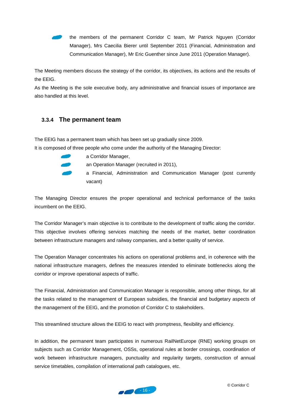the members of the permanent Corridor C team, Mr Patrick Nguyen (Corridor Manager), Mrs Caecilia Bierer until September 2011 (Financial, Administration and Communication Manager), Mr Eric Guenther since June 2011 (Operation Manager).

The Meeting members discuss the strategy of the corridor, its objectives, its actions and the results of the EEIG.

As the Meeting is the sole executive body, any administrative and financial issues of importance are also handled at this level.

### <span id="page-15-0"></span>**3.3.4 The permanent team**

The EEIG has a permanent team which has been set up gradually since 2009.

It is composed of three people who come under the authority of the Managing Director:



a Corridor Manager,

an Operation Manager (recruited in 2011),

a Financial, Administration and Communication Manager (post currently vacant)

The Managing Director ensures the proper operational and technical performance of the tasks incumbent on the EEIG.

The Corridor Manager's main objective is to contribute to the development of traffic along the corridor. This objective involves offering services matching the needs of the market, better coordination between infrastructure managers and railway companies, and a better quality of service.

The Operation Manager concentrates his actions on operational problems and, in coherence with the national infrastructure managers, defines the measures intended to eliminate bottlenecks along the corridor or improve operational aspects of traffic.

The Financial, Administration and Communication Manager is responsible, among other things, for all the tasks related to the management of European subsidies, the financial and budgetary aspects of the management of the EEIG, and the promotion of Corridor C to stakeholders.

This streamlined structure allows the EEIG to react with promptness, flexibility and efficiency.

In addition, the permanent team participates in numerous RailNetEurope (RNE) working groups on subjects such as Corridor Management, OSSs, operational rules at border crossings, coordination of work between infrastructure managers, punctuality and regularity targets, construction of annual service timetables, compilation of international path catalogues, etc.

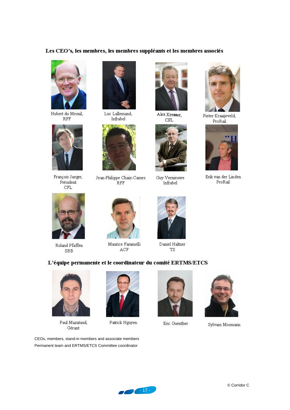#### Les CEO's, les membres, les membres suppléants et les membres associés



Hubert du Mesnil, **RFF** 



François Jaeger, Président CFL



Luc Lallemand, Infrabel



Jean-Philippe Chaix-Cames **RFF** 



Alex Kremer, CFL



Guy Vernieuwe Infrabel







Erik van der Linden ProRail



Roland Pfaffen  $SBB$ 



Maurice Faramelli ACF



Daniel Haltner **TS** 

### L'équipe permanente et le coordinateur du comité ERTMS/ETCS



Paul Mazataud, Gérant

CEOs, members, stand-in members and associate members Permanent team and ERTMS/ETCS Committee coordinator



Patrick Nguyen



Eric Guenther



Sylvain Mosmann

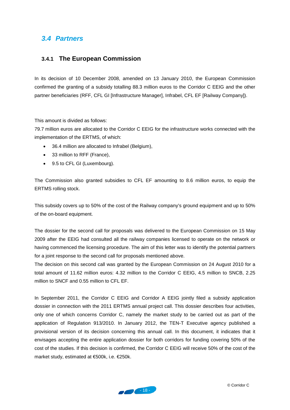### <span id="page-17-0"></span>*3.4 Partners*

### <span id="page-17-1"></span>**3.4.1 The European Commission**

In its decision of 10 December 2008, amended on 13 January 2010, the European Commission confirmed the granting of a subsidy totalling 88.3 million euros to the Corridor C EEIG and the other partner beneficiaries (RFF, CFL GI [Infrastructure Manager], Infrabel, CFL EF [Railway Company]).

This amount is divided as follows:

79.7 million euros are allocated to the Corridor C EEIG for the infrastructure works connected with the implementation of the ERTMS, of which:

- 36.4 million are allocated to Infrabel (Belgium),
- 33 million to RFF (France),
- 9.5 to CFL GI (Luxembourg).

The Commission also granted subsidies to CFL EF amounting to 8.6 million euros, to equip the ERTMS rolling stock.

This subsidy covers up to 50% of the cost of the Railway company's ground equipment and up to 50% of the on-board equipment.

The dossier for the second call for proposals was delivered to the European Commission on 15 May 2009 after the EEIG had consulted all the railway companies licensed to operate on the network or having commenced the licensing procedure. The aim of this letter was to identify the potential partners for a joint response to the second call for proposals mentioned above.

The decision on this second call was granted by the European Commission on 24 August 2010 for a total amount of 11.62 million euros: 4.32 million to the Corridor C EEIG, 4.5 million to SNCB, 2.25 million to SNCF and 0.55 million to CFL EF.

In September 2011, the Corridor C EEIG and Corridor A EEIG jointly filed a subsidy application dossier in connection with the 2011 ERTMS annual project call. This dossier describes four activities, only one of which concerns Corridor C, namely the market study to be carried out as part of the application of Regulation 913/2010. In January 2012, the TEN-T Executive agency published a provisional version of its decision concerning this annual call. In this document, it indicates that it envisages accepting the entire application dossier for both corridors for funding covering 50% of the cost of the studies. If this decision is confirmed, the Corridor C EEIG will receive 50% of the cost of the market study, estimated at €500k, i.e. €250k.

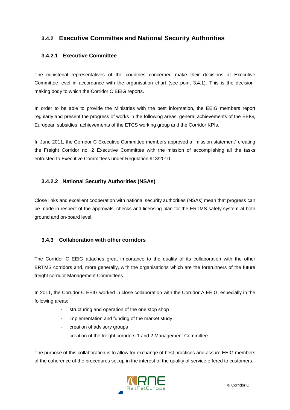### <span id="page-18-0"></span>**3.4.2 Executive Committee and National Security Authorities**

### **3.4.2.1 Executive Committee**

The ministerial representatives of the countries concerned make their decisions at Executive Committee level in accordance with the organisation chart (see point 3.4.1). This is the decisionmaking body to which the Corridor C EEIG reports.

In order to be able to provide the Ministries with the best information, the EEIG members report regularly and present the progress of works in the following areas: general achievements of the EEIG, European subsidies, achievements of the ETCS working group and the Corridor KPIs.

In June 2011, the Corridor C Executive Committee members approved a "mission statement" creating the Freight Corridor no. 2 Executive Committee with the mission of accomplishing all the tasks entrusted to Executive Committees under Regulation 913/2010.

#### **3.4.2.2 National Security Authorities (NSAs)**

Close links and excellent cooperation with national security authorities (NSAs) mean that progress can be made in respect of the approvals, checks and licensing plan for the ERTMS safety system at both ground and on-board level.

#### <span id="page-18-1"></span>**3.4.3 Collaboration with other corridors**

The Corridor C EEIG attaches great importance to the quality of its collaboration with the other ERTMS corridors and, more generally, with the organisations which are the forerunners of the future freight corridor Management Committees.

In 2011, the Corridor C EEIG worked in close collaboration with the Corridor A EEIG, especially in the following areas:

- structuring and operation of the one stop shop
- implementation and funding of the market study
- creation of advisory groups
- creation of the freight corridors 1 and 2 Management Committee.

The purpose of this collaboration is to allow for exchange of best practices and assure EEIG members of the coherence of the procedures set up in the interest of the quality of service offered to customers.

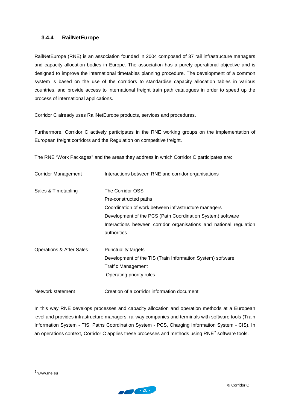#### <span id="page-19-0"></span>**3.4.4 RailNetEurope**

RailNetEurope (RNE) is an association founded in 2004 composed of 37 rail infrastructure managers and capacity allocation bodies in Europe. The association has a purely operational objective and is designed to improve the international timetables planning procedure. The development of a common system is based on the use of the corridors to standardise capacity allocation tables in various countries, and provide access to international freight train path catalogues in order to speed up the process of international applications.

Corridor C already uses RailNetEurope products, services and procedures.

Furthermore, Corridor C actively participates in the RNE working groups on the implementation of European freight corridors and the Regulation on competitive freight.

The RNE "Work Packages" and the areas they address in which Corridor C participates are:

| <b>Corridor Management</b>          | Interactions between RNE and corridor organisations                 |  |  |  |
|-------------------------------------|---------------------------------------------------------------------|--|--|--|
| Sales & Timetabling                 | The Corridor OSS                                                    |  |  |  |
|                                     | Pre-constructed paths                                               |  |  |  |
|                                     | Coordination of work between infrastructure managers                |  |  |  |
|                                     | Development of the PCS (Path Coordination System) software          |  |  |  |
|                                     | Interactions between corridor organisations and national regulation |  |  |  |
|                                     | authorities                                                         |  |  |  |
| <b>Operations &amp; After Sales</b> | <b>Punctuality targets</b>                                          |  |  |  |
|                                     | Development of the TIS (Train Information System) software          |  |  |  |
|                                     | <b>Traffic Management</b>                                           |  |  |  |
|                                     | Operating priority rules                                            |  |  |  |
| Network statement                   | Creation of a corridor information document                         |  |  |  |

In this way RNE develops processes and capacity allocation and operation methods at a European level and provides infrastructure managers, railway companies and terminals with software tools (Train Information System - TIS, Paths Coordination System - PCS, Charging Information System - CIS). In an operations context. Corridor C applies these processes and methods using  $RNE<sup>2</sup>$  $RNE<sup>2</sup>$  $RNE<sup>2</sup>$  software tools.

-

<span id="page-19-1"></span> $2$  www.rne.eu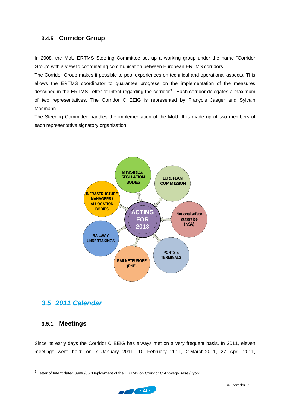### <span id="page-20-0"></span>**3.4.5 Corridor Group**

In 2008, the MoU ERTMS Steering Committee set up a working group under the name "Corridor Group" with a view to coordinating communication between European ERTMS corridors.

The Corridor Group makes it possible to pool experiences on technical and operational aspects. This allows the ERTMS coordinator to guarantee progress on the implementation of the measures described in the ERTMS Letter of Intent regarding the corridor<sup>[3](#page-19-1)</sup>. Each corridor delegates a maximum of two representatives. The Corridor C EEIG is represented by François Jaeger and Sylvain Mosmann.

The Steering Committee handles the implementation of the MoU. It is made up of two members of each representative signatory organisation.



### <span id="page-20-1"></span>*3.5 2011 Calendar*

### <span id="page-20-2"></span>**3.5.1 Meetings**

-

Since its early days the Corridor C EEIG has always met on a very frequent basis. In 2011, eleven meetings were held: on 7 January 2011, 10 February 2011, 2 March 2011, 27 April 2011,

<span id="page-20-3"></span><sup>3</sup> Letter of Intent dated 09/06/06 "Deployment of the ERTMS on Corridor C Antwerp-Basel/Lyon"

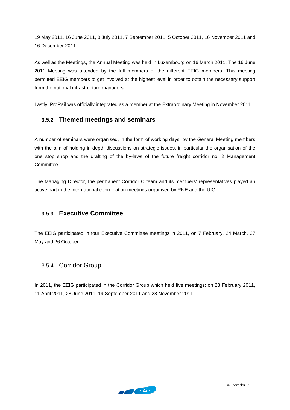19 May 2011, 16 June 2011, 8 July 2011, 7 September 2011, 5 October 2011, 16 November 2011 and 16 December 2011.

As well as the Meetings, the Annual Meeting was held in Luxembourg on 16 March 2011. The 16 June 2011 Meeting was attended by the full members of the different EEIG members. This meeting permitted EEIG members to get involved at the highest level in order to obtain the necessary support from the national infrastructure managers.

<span id="page-21-0"></span>Lastly, ProRail was officially integrated as a member at the Extraordinary Meeting in November 2011.

### **3.5.2 Themed meetings and seminars**

A number of seminars were organised, in the form of working days, by the General Meeting members with the aim of holding in-depth discussions on strategic issues, in particular the organisation of the one stop shop and the drafting of the by-laws of the future freight corridor no. 2 Management Committee.

The Managing Director, the permanent Corridor C team and its members' representatives played an active part in the international coordination meetings organised by RNE and the UIC.

### <span id="page-21-1"></span>**3.5.3 Executive Committee**

The EEIG participated in four Executive Committee meetings in 2011, on 7 February, 24 March, 27 May and 26 October.

### <span id="page-21-2"></span>3.5.4 Corridor Group

In 2011, the EEIG participated in the Corridor Group which held five meetings: on 28 February 2011, 11 April 2011, 28 June 2011, 19 September 2011 and 28 November 2011.

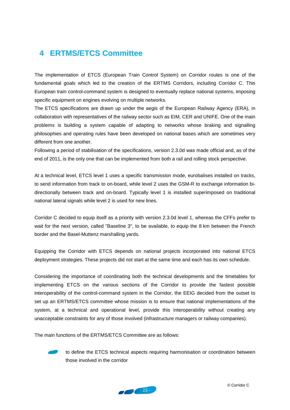# <span id="page-22-0"></span>**4 ERTMS/ETCS Committee**

The implementation of ETCS (European Train Control System) on Corridor routes is one of the fundamental goals which led to the creation of the ERTMS Corridors, including Corridor C. This European train control-command system is designed to eventually replace national systems, imposing specific equipment on engines evolving on multiple networks.

The ETCS specifications are drawn up under the aegis of the European Railway Agency (ERA), in collaboration with representatives of the railway sector such as EIM, CER and UNIFE. One of the main problems is building a system capable of adapting to networks whose braking and signalling philosophies and operating rules have been developed on national bases which are sometimes very different from one another.

Following a period of stabilisation of the specifications, version 2.3.0d was made official and, as of the end of 2011, is the only one that can be implemented from both a rail and rolling stock perspective.

At a technical level, ETCS level 1 uses a specific transmission mode, eurobalises installed on tracks, to send information from track to on-board, while level 2 uses the GSM-R to exchange information bidirectionally between track and on-board. Typically level 1 is installed superimposed on traditional national lateral signals while level 2 is used for new lines.

Corridor C decided to equip itself as a priority with version 2.3.0d level 1, whereas the CFFs prefer to wait for the next version, called "Baseline 3", to be available, to equip the 8 km between the French border and the Basel-Muttenz marshalling yards.

Equipping the Corridor with ETCS depends on national projects incorporated into national ETCS deployment strategies. These projects did not start at the same time and each has its own schedule.

Considering the importance of coordinating both the technical developments and the timetables for implementing ETCS on the various sections of the Corridor to provide the fastest possible interoperability of the control-command system in the Corridor, the EEIG decided from the outset to set up an ERTMS/ETCS committee whose mission is to ensure that national implementations of the system, at a technical and operational level, provide this interoperability without creating any unacceptable constraints for any of those involved (infrastructure managers or railway companies).

The main functions of the ERTMS/ETCS Committee are as follows:



to define the ETCS technical aspects requiring harmonisation or coordination between those involved in the corridor

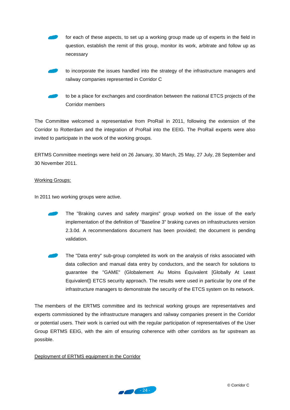

- to incorporate the issues handled into the strategy of the infrastructure managers and railway companies represented in Corridor C
- to be a place for exchanges and coordination between the national ETCS projects of the Corridor members

The Committee welcomed a representative from ProRail in 2011, following the extension of the Corridor to Rotterdam and the integration of ProRail into the EEIG. The ProRail experts were also invited to participate in the work of the working groups.

ERTMS Committee meetings were held on 26 January, 30 March, 25 May, 27 July, 28 September and 30 November 2011.

#### Working Groups:

In 2011 two working groups were active.

- The "Braking curves and safety margins" group worked on the issue of the early implementation of the definition of "Baseline 3" braking curves on infrastructures version 2.3.0d. A recommendations document has been provided; the document is pending validation.
- The "Data entry" sub-group completed its work on the analysis of risks associated with data collection and manual data entry by conductors, and the search for solutions to guarantee the "GAME" (Globalement Au Moins Équivalent [Globally At Least Equivalent]) ETCS security approach. The results were used in particular by one of the infrastructure managers to demonstrate the security of the ETCS system on its network.

The members of the ERTMS committee and its technical working groups are representatives and experts commissioned by the infrastructure managers and railway companies present in the Corridor or potential users. Their work is carried out with the regular participation of representatives of the User Group ERTMS EEIG, with the aim of ensuring coherence with other corridors as far upstream as possible.

Deployment of ERTMS equipment in the Corridor

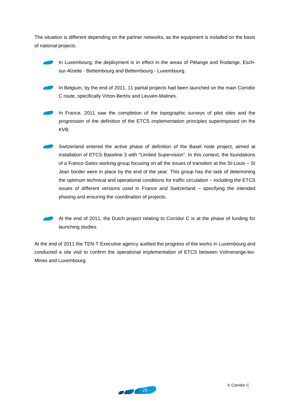The situation is different depending on the partner networks, as the equipment is installed on the basis of national projects.

In Luxembourg, the deployment is in effect in the areas of Pétange and Rodange, Eschsur-Alzette - Bettembourg and Bettembourg - Luxembourg.

In Belgium, by the end of 2011, 11 partial projects had been launched on the main Corridor C route, specifically Virton-Bertrix and Leuven-Malines.

In France, 2011 saw the completion of the topographic surveys of pilot sites and the progression of the definition of the ETCS implementation principles superimposed on the KVB.

Switzerland entered the active phase of definition of the Basel node project, aimed at installation of ETCS Baseline 3 with "Limited Supervision". In this context, the foundations of a Franco-Swiss working group focusing on all the issues of transition at the St-Louis – St Jean border were in place by the end of the year. This group has the task of determining the optimum technical and operational conditions for traffic circulation – including the ETCS issues of different versions used in France and Switzerland – specifying the intended phasing and ensuring the coordination of projects.

At the end of 2011, the Dutch project relating to Corridor C is at the phase of funding for launching studies.

At the end of 2011 the TEN-T Executive agency audited the progress of the works in Luxembourg and conducted a site visit to confirm the operational implementation of ETCS between Volmerange-les-Mines and Luxembourg.

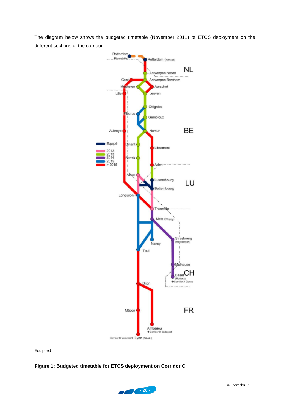



Equipped

#### **Figure 1: Budgeted timetable for ETCS deployment on Corridor C**

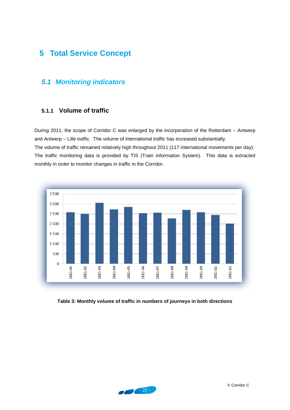# <span id="page-26-0"></span>**5 Total Service Concept**

# <span id="page-26-1"></span>*5.1 Monitoring indicators*

### <span id="page-26-2"></span>**5.1.1 Volume of traffic**

During 2011, the scope of Corridor C was enlarged by the incorporation of the Rotterdam – Antwerp and Antwerp – Lille traffic. The volume of international traffic has increased substantially. The volume of traffic remained relatively high throughout 2011 (117 international movements per day). The traffic monitoring data is provided by TIS (Train information System). This data is extracted monthly in order to monitor changes in traffic in the Corridor.



**Table 3: Monthly volume of traffic in numbers of journeys in both directions**

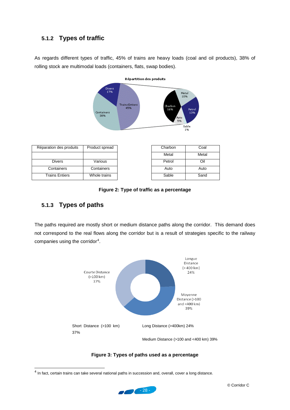### <span id="page-27-0"></span>**5.1.2 Types of traffic**

As regards different types of traffic, 45% of trains are heavy loads (coal and oil products), 38% of rolling stock are multimodal loads (containers, flats, swap bodies).



| Réparation des produits | Product spread | Charbon | Coal  |
|-------------------------|----------------|---------|-------|
|                         |                | Metal   | Metal |
| <b>Divers</b>           | Various        | Petrol  | Oil   |
| Containers              | Containers     | Auto    | Auto  |
| Trains Entiers          | Whole trains   | Sable   | Sand  |

**Figure 2: Type of traffic as a percentage**

### <span id="page-27-1"></span>**5.1.3 Types of paths**

-

The paths required are mostly short or medium distance paths along the corridor. This demand does not correspond to the real flows along the corridor but is a result of strategies specific to the railway companies using the corridor<sup>[4](#page-20-3)</sup>.





<sup>&</sup>lt;sup>4</sup> In fact, certain trains can take several national paths in succession and, overall, cover a long distance.

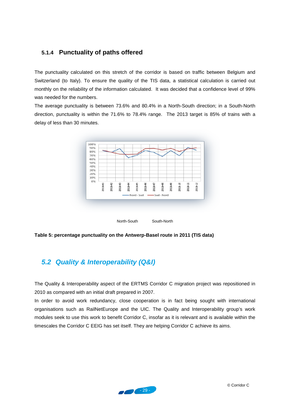### <span id="page-28-0"></span>**5.1.4 Punctuality of paths offered**

The punctuality calculated on this stretch of the corridor is based on traffic between Belgium and Switzerland (to Italy). To ensure the quality of the TIS data, a statistical calculation is carried out monthly on the reliability of the information calculated. It was decided that a confidence level of 99% was needed for the numbers.

The average punctuality is between 73.6% and 80.4% in a North-South direction; in a South-North direction, punctuality is within the 71.6% to 78.4% range. The 2013 target is 85% of trains with a delay of less than 30 minutes.



**Table 5: percentage punctuality on the Antwerp-Basel route in 2011 (TIS data)**

# <span id="page-28-1"></span>*5.2 Quality & Interoperability (Q&I)*

The Quality & Interoperability aspect of the ERTMS Corridor C migration project was repositioned in 2010 as compared with an initial draft prepared in 2007.

In order to avoid work redundancy, close cooperation is in fact being sought with international organisations such as RailNetEurope and the UIC. The Quality and Interoperability group's work modules seek to use this work to benefit Corridor C, insofar as it is relevant and is available within the timescales the Corridor C EEIG has set itself. They are helping Corridor C achieve its aims.

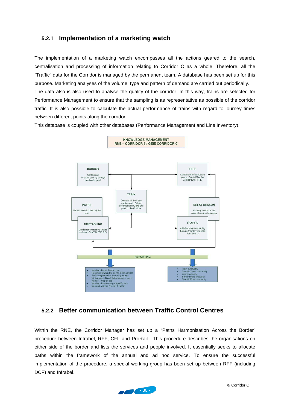### <span id="page-29-0"></span>**5.2.1 Implementation of a marketing watch**

The implementation of a marketing watch encompasses all the actions geared to the search, centralisation and processing of information relating to Corridor C as a whole. Therefore, all the "Traffic" data for the Corridor is managed by the permanent team. A database has been set up for this purpose. Marketing analyses of the volume, type and pattern of demand are carried out periodically. The data also is also used to analyse the quality of the corridor. In this way, trains are selected for Performance Management to ensure that the sampling is as representative as possible of the corridor traffic. It is also possible to calculate the actual performance of trains with regard to journey times between different points along the corridor.

This database is coupled with other databases (Performance Management and Line Inventory).



<span id="page-29-1"></span>**5.2.2 Better communication between Traffic Control Centres**

Within the RNE, the Corridor Manager has set up a "Paths Harmonisation Across the Border" procedure between Infrabel, RFF, CFL and ProRail. This procedure describes the organisations on either side of the border and lists the services and people involved. It essentially seeks to allocate paths within the framework of the annual and ad hoc service. To ensure the successful implementation of the procedure, a special working group has been set up between RFF (including DCF) and Infrabel.

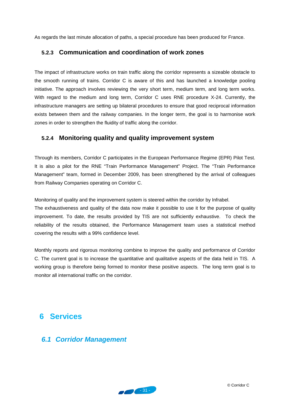<span id="page-30-0"></span>As regards the last minute allocation of paths, a special procedure has been produced for France.

### **5.2.3 Communication and coordination of work zones**

The impact of infrastructure works on train traffic along the corridor represents a sizeable obstacle to the smooth running of trains. Corridor C is aware of this and has launched a knowledge pooling initiative. The approach involves reviewing the very short term, medium term, and long term works. With regard to the medium and long term, Corridor C uses RNE procedure X-24. Currently, the infrastructure managers are setting up bilateral procedures to ensure that good reciprocal information exists between them and the railway companies. In the longer term, the goal is to harmonise work zones in order to strengthen the fluidity of traffic along the corridor.

### <span id="page-30-1"></span>**5.2.4 Monitoring quality and quality improvement system**

Through its members, Corridor C participates in the European Performance Regime (EPR) Pilot Test. It is also a pilot for the RNE "Train Performance Management" Project. The "Train Performance Management" team, formed in December 2009, has been strengthened by the arrival of colleagues from Railway Companies operating on Corridor C.

Monitoring of quality and the improvement system is steered within the corridor by Infrabel.

The exhaustiveness and quality of the data now make it possible to use it for the purpose of quality improvement. To date, the results provided by TIS are not sufficiently exhaustive. To check the reliability of the results obtained, the Performance Management team uses a statistical method covering the results with a 99% confidence level.

Monthly reports and rigorous monitoring combine to improve the quality and performance of Corridor C. The current goal is to increase the quantitative and qualitative aspects of the data held in TIS. A working group is therefore being formed to monitor these positive aspects. The long term goal is to monitor all international traffic on the corridor.

# <span id="page-30-2"></span>**6 Services**

### <span id="page-30-3"></span>*6.1 Corridor Management*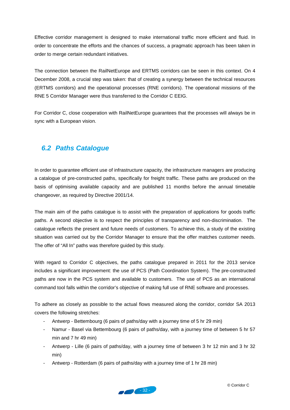Effective corridor management is designed to make international traffic more efficient and fluid. In order to concentrate the efforts and the chances of success, a pragmatic approach has been taken in order to merge certain redundant initiatives.

The connection between the RailNetEurope and ERTMS corridors can be seen in this context. On 4 December 2008, a crucial step was taken: that of creating a synergy between the technical resources (ERTMS corridors) and the operational processes (RNE corridors). The operational missions of the RNE 5 Corridor Manager were thus transferred to the Corridor C EEIG.

For Corridor C, close cooperation with RailNetEurope guarantees that the processes will always be in sync with a European vision.

# <span id="page-31-0"></span>*6.2 Paths Catalogue*

In order to guarantee efficient use of infrastructure capacity, the infrastructure managers are producing a catalogue of pre-constructed paths, specifically for freight traffic. These paths are produced on the basis of optimising available capacity and are published 11 months before the annual timetable changeover, as required by Directive 2001/14.

The main aim of the paths catalogue is to assist with the preparation of applications for goods traffic paths. A second objective is to respect the principles of transparency and non-discrimination. The catalogue reflects the present and future needs of customers. To achieve this, a study of the existing situation was carried out by the Corridor Manager to ensure that the offer matches customer needs. The offer of "All In" paths was therefore guided by this study.

With regard to Corridor C objectives, the paths catalogue prepared in 2011 for the 2013 service includes a significant improvement: the use of PCS (Path Coordination System). The pre-constructed paths are now in the PCS system and available to customers. The use of PCS as an international command tool falls within the corridor's objective of making full use of RNE software and processes.

To adhere as closely as possible to the actual flows measured along the corridor, corridor SA 2013 covers the following stretches:

- Antwerp Bettembourg (6 pairs of paths/day with a journey time of 5 hr 29 min)
- Namur Basel via Bettembourg (6 pairs of paths/day, with a journey time of between 5 hr 57 min and 7 hr 49 min)
- Antwerp Lille (6 pairs of paths/day, with a journey time of between 3 hr 12 min and 3 hr 32 min)
- Antwerp Rotterdam (6 pairs of paths/day with a journey time of 1 hr 28 min)

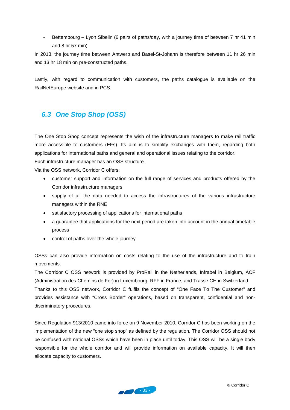Bettembourg – Lyon Sibelin (6 pairs of paths/day, with a journey time of between 7 hr 41 min and 8 hr 57 min)

In 2013, the journey time between Antwerp and Basel-St-Johann is therefore between 11 hr 26 min and 13 hr 18 min on pre-constructed paths.

Lastly, with regard to communication with customers, the paths catalogue is available on the RailNetEurope website and in PCS.

# <span id="page-32-0"></span>*6.3 One Stop Shop (OSS)*

The One Stop Shop concept represents the wish of the infrastructure managers to make rail traffic more accessible to customers (EFs). Its aim is to simplify exchanges with them, regarding both applications for international paths and general and operational issues relating to the corridor.

Each infrastructure manager has an OSS structure.

Via the OSS network, Corridor C offers:

- customer support and information on the full range of services and products offered by the Corridor infrastructure managers
- supply of all the data needed to access the infrastructures of the various infrastructure managers within the RNE
- satisfactory processing of applications for international paths
- a guarantee that applications for the next period are taken into account in the annual timetable process
- control of paths over the whole journey

OSSs can also provide information on costs relating to the use of the infrastructure and to train movements.

The Corridor C OSS network is provided by ProRail in the Netherlands, Infrabel in Belgium, ACF (Administration des Chemins de Fer) in Luxembourg, RFF in France, and Trasse CH in Switzerland. Thanks to this OSS network, Corridor C fulfils the concept of "One Face To The Customer" and provides assistance with "Cross Border" operations, based on transparent, confidential and nondiscriminatory procedures.

Since Regulation 913/2010 came into force on 9 November 2010, Corridor C has been working on the implementation of the new "one stop shop" as defined by the regulation. The Corridor OSS should not be confused with national OSSs which have been in place until today. This OSS will be a single body responsible for the whole corridor and will provide information on available capacity. It will then allocate capacity to customers.

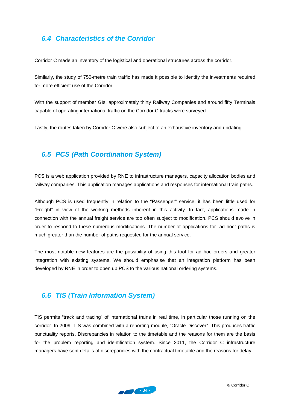# <span id="page-33-0"></span>*6.4 Characteristics of the Corridor*

Corridor C made an inventory of the logistical and operational structures across the corridor.

Similarly, the study of 750-metre train traffic has made it possible to identify the investments required for more efficient use of the Corridor.

With the support of member GIs, approximately thirty Railway Companies and around fifty Terminals capable of operating international traffic on the Corridor C tracks were surveyed.

Lastly, the routes taken by Corridor C were also subject to an exhaustive inventory and updating.

# <span id="page-33-1"></span>*6.5 PCS (Path Coordination System)*

PCS is a web application provided by RNE to infrastructure managers, capacity allocation bodies and railway companies. This application manages applications and responses for international train paths.

Although PCS is used frequently in relation to the "Passenger" service, it has been little used for "Freight" in view of the working methods inherent in this activity. In fact, applications made in connection with the annual freight service are too often subject to modification. PCS should evolve in order to respond to these numerous modifications. The number of applications for "ad hoc" paths is much greater than the number of paths requested for the annual service.

The most notable new features are the possibility of using this tool for ad hoc orders and greater integration with existing systems. We should emphasise that an integration platform has been developed by RNE in order to open up PCS to the various national ordering systems.

# <span id="page-33-2"></span>*6.6 TIS (Train Information System)*

TIS permits "track and tracing" of international trains in real time, in particular those running on the corridor. In 2009, TIS was combined with a reporting module, "Oracle Discover". This produces traffic punctuality reports. Discrepancies in relation to the timetable and the reasons for them are the basis for the problem reporting and identification system. Since 2011, the Corridor C infrastructure managers have sent details of discrepancies with the contractual timetable and the reasons for delay.

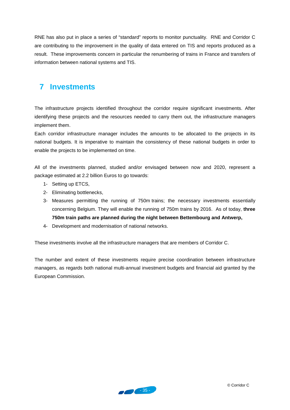RNE has also put in place a series of "standard" reports to monitor punctuality. RNE and Corridor C are contributing to the improvement in the quality of data entered on TIS and reports produced as a result. These improvements concern in particular the renumbering of trains in France and transfers of information between national systems and TIS.

# <span id="page-34-0"></span>**7 Investments**

The infrastructure projects identified throughout the corridor require significant investments. After identifying these projects and the resources needed to carry them out, the infrastructure managers implement them.

Each corridor infrastructure manager includes the amounts to be allocated to the projects in its national budgets. It is imperative to maintain the consistency of these national budgets in order to enable the projects to be implemented on time.

All of the investments planned, studied and/or envisaged between now and 2020, represent a package estimated at 2.2 billion Euros to go towards:

- 1- Setting up ETCS,
- 2- Eliminating bottlenecks,
- 3- Measures permitting the running of 750m trains; the necessary investments essentially concerning Belgium. They will enable the running of 750m trains by 2016. As of today, **three 750m train paths are planned during the night between Bettembourg and Antwerp,**
- 4- Development and modernisation of national networks.

These investments involve all the infrastructure managers that are members of Corridor C.

The number and extent of these investments require precise coordination between infrastructure managers, as regards both national multi-annual investment budgets and financial aid granted by the European Commission.

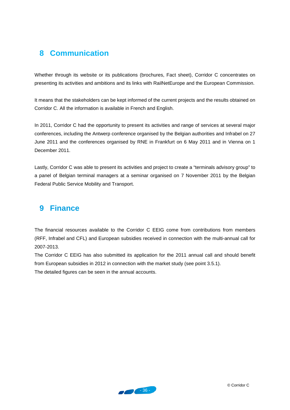# <span id="page-35-0"></span>**8 Communication**

Whether through its website or its publications (brochures, Fact sheet), Corridor C concentrates on presenting its activities and ambitions and its links with RailNetEurope and the European Commission.

It means that the stakeholders can be kept informed of the current projects and the results obtained on Corridor C. All the information is available in French and English.

In 2011, Corridor C had the opportunity to present its activities and range of services at several major conferences, including the Antwerp conference organised by the Belgian authorities and Infrabel on 27 June 2011 and the conferences organised by RNE in Frankfurt on 6 May 2011 and in Vienna on 1 December 2011.

Lastly, Corridor C was able to present its activities and project to create a "terminals advisory group" to a panel of Belgian terminal managers at a seminar organised on 7 November 2011 by the Belgian Federal Public Service Mobility and Transport.

# <span id="page-35-1"></span>**9 Finance**

The financial resources available to the Corridor C EEIG come from contributions from members (RFF, Infrabel and CFL) and European subsidies received in connection with the multi-annual call for 2007-2013.

The Corridor C EEIG has also submitted its application for the 2011 annual call and should benefit from European subsidies in 2012 in connection with the market study (see point 3.5.1). The detailed figures can be seen in the annual accounts.